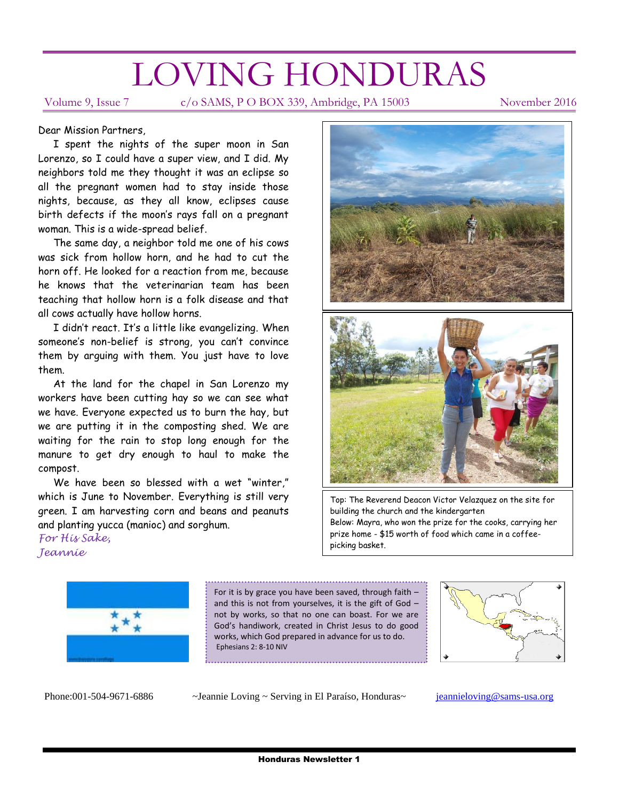# LOVING HONDURAS

Volume 9, Issue 7 c/o SAMS, P O BOX 339, Ambridge, PA 15003 November 2016

#### Dear Mission Partners,

 I spent the nights of the super moon in San Lorenzo, so I could have a super view, and I did. My neighbors told me they thought it was an eclipse so all the pregnant women had to stay inside those nights, because, as they all know, eclipses cause birth defects if the moon's rays fall on a pregnant woman. This is a wide-spread belief.

 The same day, a neighbor told me one of his cows was sick from hollow horn, and he had to cut the horn off. He looked for a reaction from me, because he knows that the veterinarian team has been teaching that hollow horn is a folk disease and that all cows actually have hollow horns.

 I didn't react. It's a little like evangelizing. When someone's non-belief is strong, you can't convince them by arguing with them. You just have to love them.

 At the land for the chapel in San Lorenzo my workers have been cutting hay so we can see what we have. Everyone expected us to burn the hay, but we are putting it in the composting shed. We are waiting for the rain to stop long enough for the manure to get dry enough to haul to make the compost.

 We have been so blessed with a wet "winter," which is June to November. Everything is still very green. I am harvesting corn and beans and peanuts and planting yucca (manioc) and sorghum.

*For His Sake, Jeannie*



Top: The Reverend Deacon Victor Velazquez on the site for building the church and the kindergarten Below: Mayra, who won the prize for the cooks, carrying her prize home - \$15 worth of food which came in a coffeepicking basket.



For it is by grace you have been saved, through faith – and this is not from yourselves, it is the gift of God – not by works, so that no one can boast. For we are God's handiwork, created in Christ Jesus to do good works, which God prepared in advance for us to do. Ephesians 2: 8-10 NIV



Phone:001-504-9671-6886 ~Jeannie Loving ~ Serving in El Paraíso, Honduras~ [jeannieloving@sams-usa.org](mailto:jeannieloving@sams-usa.org)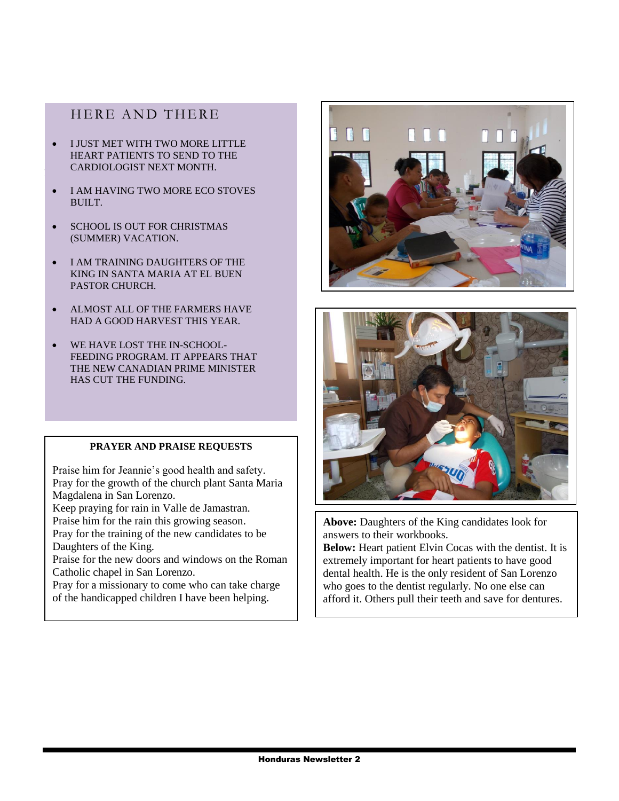## HERE AND THERE

- $\bullet$  I JUST MET WITH TWO MORE LITTLE HEART PATIENTS TO SEND TO THE CARDIOLOGIST NEXT MONTH.
- I AM HAVING TWO MORE ECO STOVES BUILT.
- SCHOOL IS OUT FOR CHRISTMAS (SUMMER) VACATION.
- I AM TRAINING DAUGHTERS OF THE KING IN SANTA MARIA AT EL BUEN PASTOR CHURCH.
- ALMOST ALL OF THE FARMERS HAVE HAD A GOOD HARVEST THIS YEAR.
- WE HAVE LOST THE IN-SCHOOL-FEEDING PROGRAM. IT APPEARS THAT THE NEW CANADIAN PRIME MINISTER HAS CUT THE FUNDING.

### **PRAYER AND PRAISE REQUESTS**

Praise him for Jeannie's good health and safety. Pray for the growth of the church plant Santa Maria Magdalena in San Lorenzo.

Keep praying for rain in Valle de Jamastran.

Praise him for the rain this growing season.

Pray for the training of the new candidates to be Daughters of the King.

Praise for the new doors and windows on the Roman Catholic chapel in San Lorenzo.

Pray for a missionary to come who can take charge of the handicapped children I have been helping.





**Above:** Daughters of the King candidates look for answers to their workbooks.

**Below:** Heart patient Elvin Cocas with the dentist. It is extremely important for heart patients to have good dental health. He is the only resident of San Lorenzo who goes to the dentist regularly. No one else can afford it. Others pull their teeth and save for dentures.